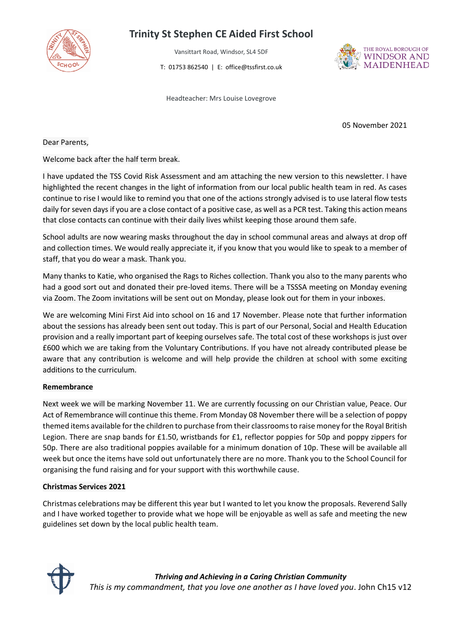

# **Trinity St Stephen CE Aided First School**

Vansittart Road, Windsor, SL4 5DF

T: 01753 862540 | E: office@tssfirst.co.uk

Headteacher: Mrs Louise Lovegrove

THE ROYAL BOROUGH OF **WINDSOR AND MAIDENHEAD** 

05 November 2021

Dear Parents,

Welcome back after the half term break.

I have updated the TSS Covid Risk Assessment and am attaching the new version to this newsletter. I have highlighted the recent changes in the light of information from our local public health team in red. As cases continue to rise I would like to remind you that one of the actions strongly advised is to use lateral flow tests daily for seven days if you are a close contact of a positive case, as well as a PCR test. Taking this action means that close contacts can continue with their daily lives whilst keeping those around them safe.

School adults are now wearing masks throughout the day in school communal areas and always at drop off and collection times. We would really appreciate it, if you know that you would like to speak to a member of staff, that you do wear a mask. Thank you.

Many thanks to Katie, who organised the Rags to Riches collection. Thank you also to the many parents who had a good sort out and donated their pre-loved items. There will be a TSSSA meeting on Monday evening via Zoom. The Zoom invitations will be sent out on Monday, please look out for them in your inboxes.

We are welcoming Mini First Aid into school on 16 and 17 November. Please note that further information about the sessions has already been sent out today. This is part of our Personal, Social and Health Education provision and a really important part of keeping ourselves safe. The total cost of these workshops is just over £600 which we are taking from the Voluntary Contributions. If you have not already contributed please be aware that any contribution is welcome and will help provide the children at school with some exciting additions to the curriculum.

#### **Remembrance**

Next week we will be marking November 11. We are currently focussing on our Christian value, Peace. Our Act of Remembrance will continue this theme. From Monday 08 November there will be a selection of poppy themed items available for the children to purchase from their classrooms to raise money for the Royal British Legion. There are snap bands for £1.50, wristbands for £1, reflector poppies for 50p and poppy zippers for 50p. There are also traditional poppies available for a minimum donation of 10p. These will be available all week but once the items have sold out unfortunately there are no more. Thank you to the School Council for organising the fund raising and for your support with this worthwhile cause.

#### **Christmas Services 2021**

Christmas celebrations may be different this year but I wanted to let you know the proposals. Reverend Sally and I have worked together to provide what we hope will be enjoyable as well as safe and meeting the new guidelines set down by the local public health team.

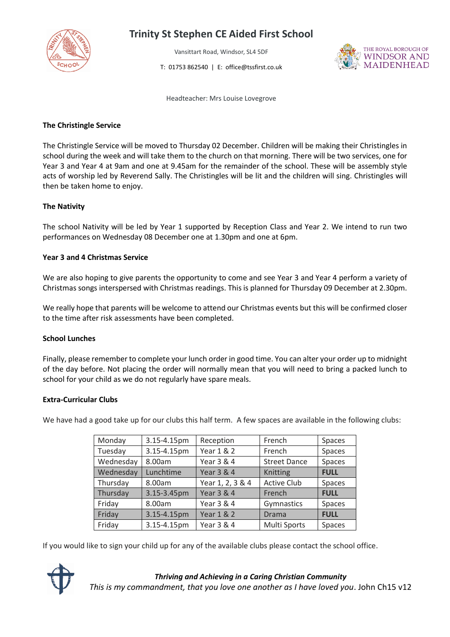

# **Trinity St Stephen CE Aided First School**

Vansittart Road, Windsor, SL4 5DF

T: 01753 862540 | E: office@tssfirst.co.uk



Headteacher: Mrs Louise Lovegrove

### **The Christingle Service**

The Christingle Service will be moved to Thursday 02 December. Children will be making their Christingles in school during the week and will take them to the church on that morning. There will be two services, one for Year 3 and Year 4 at 9am and one at 9.45am for the remainder of the school. These will be assembly style acts of worship led by Reverend Sally. The Christingles will be lit and the children will sing. Christingles will then be taken home to enjoy.

# **The Nativity**

The school Nativity will be led by Year 1 supported by Reception Class and Year 2. We intend to run two performances on Wednesday 08 December one at 1.30pm and one at 6pm.

# **Year 3 and 4 Christmas Service**

We are also hoping to give parents the opportunity to come and see Year 3 and Year 4 perform a variety of Christmas songs interspersed with Christmas readings. This is planned for Thursday 09 December at 2.30pm.

We really hope that parents will be welcome to attend our Christmas events but this will be confirmed closer to the time after risk assessments have been completed.

#### **School Lunches**

Finally, please remember to complete your lunch order in good time. You can alter your order up to midnight of the day before. Not placing the order will normally mean that you will need to bring a packed lunch to school for your child as we do not regularly have spare meals.

#### **Extra-Curricular Clubs**

We have had a good take up for our clubs this half term. A few spaces are available in the following clubs:

| Monday    | 3.15-4.15pm | Reception             | French              | Spaces        |
|-----------|-------------|-----------------------|---------------------|---------------|
| Tuesday   | 3.15-4.15pm | Year 1 & 2            | French              | Spaces        |
| Wednesday | 8.00am      | Year 3 & 4            | <b>Street Dance</b> | Spaces        |
| Wednesday | Lunchtime   | <b>Year 3 &amp; 4</b> | Knitting            | <b>FULL</b>   |
| Thursday  | 8.00am      | Year 1, 2, 3 & 4      | <b>Active Club</b>  | Spaces        |
| Thursday  | 3.15-3.45pm | <b>Year 3 &amp; 4</b> | French              | <b>FULL</b>   |
| Friday    | 8.00am      | Year 3 & 4            | Gymnastics          | Spaces        |
| Friday    | 3.15-4.15pm | <b>Year 1 &amp; 2</b> | Drama               | <b>FULL</b>   |
| Friday    | 3.15-4.15pm | Year 3 & 4            | Multi Sports        | <b>Spaces</b> |

If you would like to sign your child up for any of the available clubs please contact the school office.



# *Thriving and Achieving in a Caring Christian Community This is my commandment, that you love one another as I have loved you*. John Ch15 v12